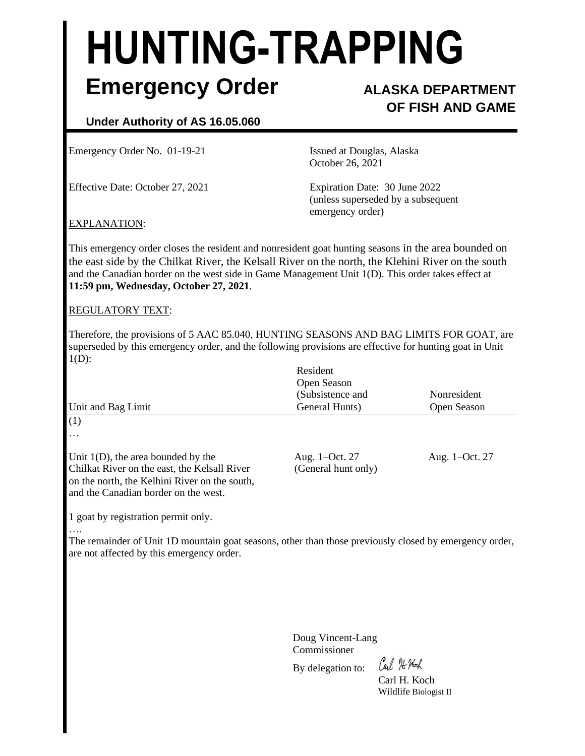# **HUNTING-TRAPPING Emergency Order ALASKA DEPARTMENT**

## **OF FISH AND GAME**

### **Under Authority of AS 16.05.060**

Emergency Order No. 01-19-21 **Issued at Douglas, Alaska** 

Effective Date: October 27, 2021 Expiration Date: 30 June 2022

October 26, 2021

(unless superseded by a subsequent emergency order)

#### EXPLANATION:

This emergency order closes the resident and nonresident goat hunting seasons in the area bounded on the east side by the Chilkat River, the Kelsall River on the north, the Klehini River on the south and the Canadian border on the west side in Game Management Unit 1(D). This order takes effect at **11:59 pm, Wednesday, October 27, 2021**.

#### REGULATORY TEXT:

Therefore, the provisions of 5 AAC 85.040, HUNTING SEASONS AND BAG LIMITS FOR GOAT, are superseded by this emergency order, and the following provisions are effective for hunting goat in Unit  $1(D)$ :

| Unit and Bag Limit                                                                                                                                                             | Resident<br>Open Season<br>(Subsistence and<br>General Hunts) | Nonresident<br>Open Season |
|--------------------------------------------------------------------------------------------------------------------------------------------------------------------------------|---------------------------------------------------------------|----------------------------|
| (1)                                                                                                                                                                            |                                                               |                            |
| $\cdots$                                                                                                                                                                       |                                                               |                            |
| Unit $1(D)$ , the area bounded by the<br>Chilkat River on the east, the Kelsall River<br>on the north, the Kelhini River on the south,<br>and the Canadian border on the west. | Aug. 1–Oct. 27<br>(General hunt only)                         | Aug. 1-Oct. 27             |
|                                                                                                                                                                                |                                                               |                            |

1 goat by registration permit only.

….

The remainder of Unit 1D mountain goat seasons, other than those previously closed by emergency order, are not affected by this emergency order.

> Doug Vincent-Lang Commissioner

By delegation to:

Carl 76 Noch

Carl H. Koch Wildlife Biologist II